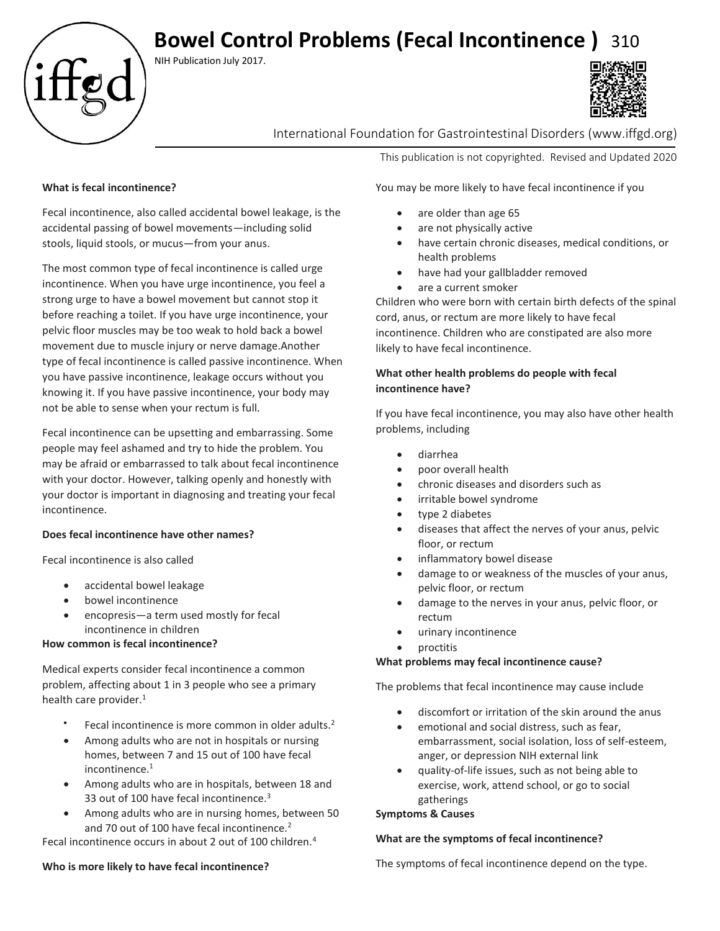# **Bowel Control Problems (Fecal Incontinence )** 310

NIH Publication July 2017.



International Foundation for Gastrointestinal Disorders (www.iffgd.org)

**What is fecal incontinence?**

Fecal incontinence, also called accidental bowel leakage, is the accidental passing of bowel movements—including solid stools, liquid stools, or mucus—from your anus.

The most common type of fecal incontinence is called urge incontinence. When you have urge incontinence, you feel a strong urge to have a bowel movement but cannot stop it before reaching a toilet. If you have urge incontinence, your pelvic floor muscles may be too weak to hold back a bowel movement due to muscle injury or nerve damage.Another type of fecal incontinence is called passive incontinence. When you have passive incontinence, leakage occurs without you knowing it. If you have passive incontinence, your body may not be able to sense when your rectum is full.

Fecal incontinence can be upsetting and embarrassing. Some people may feel ashamed and try to hide the problem. You may be afraid or embarrassed to talk about fecal incontinence with your doctor. However, talking openly and honestly with your doctor is important in diagnosing and treating your fecal incontinence.

## **Does fecal incontinence have other names?**

Fecal incontinence is also called

- accidental bowel leakage
- bowel incontinence
- encopresis—a term used mostly for fecal incontinence in children

# **How common is fecal incontinence?**

Medical experts consider fecal incontinence a common problem, affecting about 1 in 3 people who see a primary health care provider.<sup>1</sup>

- Fecal incontinence is more common in older adults.<sup>2</sup>
- Among adults who are not in hospitals or nursing homes, between 7 and 15 out of 100 have fecal incontinence.<sup>1</sup>
- Among adults who are in hospitals, between 18 and 33 out of 100 have fecal incontinence.<sup>3</sup>
- Among adults who are in nursing homes, between 50 and 70 out of 100 have fecal incontinence.<sup>2</sup>

Fecal incontinence occurs in about 2 out of 100 children.<sup>4</sup>

## **Who is more likely to have fecal incontinence?**

This publication is not copyrighted. Revised and Updated 2020

You may be more likely to have fecal incontinence if you

- are older than age 65
- are not physically active
- have certain chronic diseases, medical conditions, or health problems
- have had your gallbladder removed
- are a current smoker

Children who were born with certain birth defects of the spinal cord, anus, or rectum are more likely to have fecal incontinence. Children who are constipated are also more likely to have fecal incontinence.

# **What other health problems do people with fecal incontinence have?**

If you have fecal incontinence, you may also have other health problems, including

- diarrhea
- poor overall health
- chronic diseases and disorders such as
- irritable bowel syndrome
- type 2 diabetes
- diseases that affect the nerves of your anus, pelvic floor, or rectum
- inflammatory bowel disease
- damage to or weakness of the muscles of your anus, pelvic floor, or rectum
- damage to the nerves in your anus, pelvic floor, or rectum
- urinary incontinence
- proctitis

# **What problems may fecal incontinence cause?**

The problems that fecal incontinence may cause include

- discomfort or irritation of the skin around the anus
- emotional and social distress, such as fear, embarrassment, social isolation, loss of self-esteem, anger, or depression NIH external link
- quality-of-life issues, such as not being able to exercise, work, attend school, or go to social gatherings

## **Symptoms & Causes**

## **What are the symptoms of fecal incontinence?**

The symptoms of fecal incontinence depend on the type.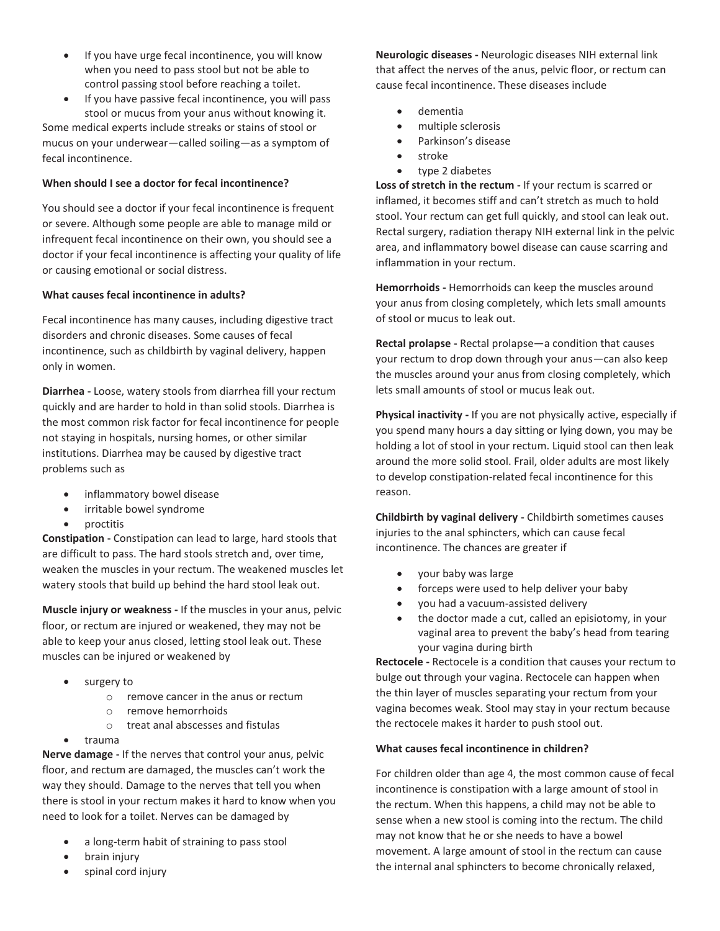- If you have urge fecal incontinence, you will know when you need to pass stool but not be able to control passing stool before reaching a toilet.
- If you have passive fecal incontinence, you will pass stool or mucus from your anus without knowing it.

Some medical experts include streaks or stains of stool or mucus on your underwear—called soiling—as a symptom of fecal incontinence.

## **When should I see a doctor for fecal incontinence?**

You should see a doctor if your fecal incontinence is frequent or severe. Although some people are able to manage mild or infrequent fecal incontinence on their own, you should see a doctor if your fecal incontinence is affecting your quality of life or causing emotional or social distress.

## **What causes fecal incontinence in adults?**

Fecal incontinence has many causes, including digestive tract disorders and chronic diseases. Some causes of fecal incontinence, such as childbirth by vaginal delivery, happen only in women.

**Diarrhea -** Loose, watery stools from diarrhea fill your rectum quickly and are harder to hold in than solid stools. Diarrhea is the most common risk factor for fecal incontinence for people not staying in hospitals, nursing homes, or other similar institutions. Diarrhea may be caused by digestive tract problems such as

- inflammatory bowel disease
- irritable bowel syndrome
- proctitis

**Constipation -** Constipation can lead to large, hard stools that are difficult to pass. The hard stools stretch and, over time, weaken the muscles in your rectum. The weakened muscles let watery stools that build up behind the hard stool leak out.

**Muscle injury or weakness -** If the muscles in your anus, pelvic floor, or rectum are injured or weakened, they may not be able to keep your anus closed, letting stool leak out. These muscles can be injured or weakened by

- surgery to
	- o remove cancer in the anus or rectum
	- o remove hemorrhoids
	- o treat anal abscesses and fistulas
- trauma

**Nerve damage -** If the nerves that control your anus, pelvic floor, and rectum are damaged, the muscles can't work the way they should. Damage to the nerves that tell you when there is stool in your rectum makes it hard to know when you need to look for a toilet. Nerves can be damaged by

- a long-term habit of straining to pass stool
- brain injury
- spinal cord injury

**Neurologic diseases -** Neurologic diseases NIH external link that affect the nerves of the anus, pelvic floor, or rectum can cause fecal incontinence. These diseases include

- dementia
- multiple sclerosis
- Parkinson's disease
- stroke
- type 2 diabetes

**Loss of stretch in the rectum -** If your rectum is scarred or inflamed, it becomes stiff and can't stretch as much to hold stool. Your rectum can get full quickly, and stool can leak out. Rectal surgery, radiation therapy NIH external link in the pelvic area, and inflammatory bowel disease can cause scarring and inflammation in your rectum.

**Hemorrhoids -** Hemorrhoids can keep the muscles around your anus from closing completely, which lets small amounts of stool or mucus to leak out.

**Rectal prolapse -** Rectal prolapse—a condition that causes your rectum to drop down through your anus—can also keep the muscles around your anus from closing completely, which lets small amounts of stool or mucus leak out.

**Physical inactivity -** If you are not physically active, especially if you spend many hours a day sitting or lying down, you may be holding a lot of stool in your rectum. Liquid stool can then leak around the more solid stool. Frail, older adults are most likely to develop constipation-related fecal incontinence for this reason.

**Childbirth by vaginal delivery -** Childbirth sometimes causes injuries to the anal sphincters, which can cause fecal incontinence. The chances are greater if

- your baby was large
- forceps were used to help deliver your baby
- you had a vacuum-assisted delivery
- the doctor made a cut, called an episiotomy, in your vaginal area to prevent the baby's head from tearing your vagina during birth

**Rectocele -** Rectocele is a condition that causes your rectum to bulge out through your vagina. Rectocele can happen when the thin layer of muscles separating your rectum from your vagina becomes weak. Stool may stay in your rectum because the rectocele makes it harder to push stool out.

## **What causes fecal incontinence in children?**

For children older than age 4, the most common cause of fecal incontinence is constipation with a large amount of stool in the rectum. When this happens, a child may not be able to sense when a new stool is coming into the rectum. The child may not know that he or she needs to have a bowel movement. A large amount of stool in the rectum can cause the internal anal sphincters to become chronically relaxed,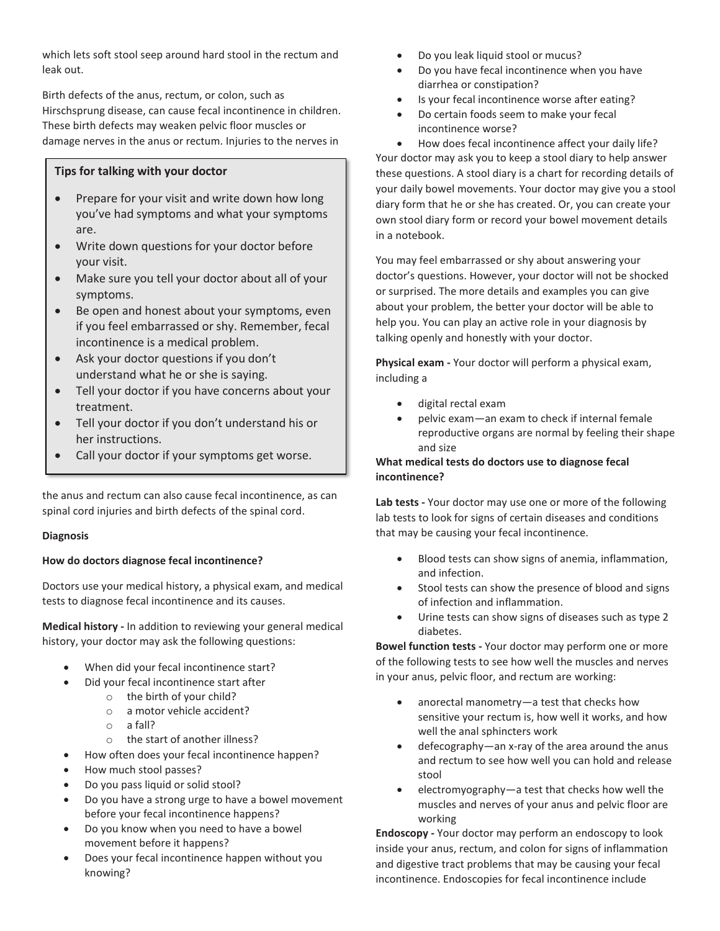which lets soft stool seep around hard stool in the rectum and leak out.

Birth defects of the anus, rectum, or colon, such as Hirschsprung disease, can cause fecal incontinence in children. These birth defects may weaken pelvic floor muscles or damage nerves in the anus or rectum. Injuries to the nerves in

# **Tips for talking with your doctor**

- Prepare for your visit and write down how long you've had symptoms and what your symptoms are.
- Write down questions for your doctor before your visit.
- Make sure you tell your doctor about all of your symptoms.
- Be open and honest about your symptoms, even if you feel embarrassed or shy. Remember, fecal incontinence is a medical problem.
- Ask your doctor questions if you don't understand what he or she is saying.
- Tell your doctor if you have concerns about your treatment.
- Tell your doctor if you don't understand his or her instructions.
- Call your doctor if your symptoms get worse.

the anus and rectum can also cause fecal incontinence, as can spinal cord injuries and birth defects of the spinal cord.

# **Diagnosis**

# **How do doctors diagnose fecal incontinence?**

Doctors use your medical history, a physical exam, and medical tests to diagnose fecal incontinence and its causes.

**Medical history -** In addition to reviewing your general medical history, your doctor may ask the following questions:

- When did your fecal incontinence start?
- Did your fecal incontinence start after
	- o the birth of your child?
		- o a motor vehicle accident?
		- o a fall?
	- o the start of another illness?
- How often does your fecal incontinence happen?
- How much stool passes?
- Do you pass liquid or solid stool?
- Do you have a strong urge to have a bowel movement before your fecal incontinence happens?
- Do you know when you need to have a bowel movement before it happens?
- Does your fecal incontinence happen without you knowing?
- Do you leak liquid stool or mucus?
- Do you have fecal incontinence when you have diarrhea or constipation?
- Is your fecal incontinence worse after eating?
- Do certain foods seem to make your fecal incontinence worse?

• How does fecal incontinence affect your daily life? Your doctor may ask you to keep a stool diary to help answer these questions. A stool diary is a chart for recording details of your daily bowel movements. Your doctor may give you a stool diary form that he or she has created. Or, you can create your own stool diary form or record your bowel movement details in a notebook.

You may feel embarrassed or shy about answering your doctor's questions. However, your doctor will not be shocked or surprised. The more details and examples you can give about your problem, the better your doctor will be able to help you. You can play an active role in your diagnosis by talking openly and honestly with your doctor.

**Physical exam -** Your doctor will perform a physical exam, including a

- digital rectal exam
- pelvic exam—an exam to check if internal female reproductive organs are normal by feeling their shape and size

## **What medical tests do doctors use to diagnose fecal incontinence?**

**Lab tests -** Your doctor may use one or more of the following lab tests to look for signs of certain diseases and conditions that may be causing your fecal incontinence.

- Blood tests can show signs of anemia, inflammation, and infection.
- Stool tests can show the presence of blood and signs of infection and inflammation.
- Urine tests can show signs of diseases such as type 2 diabetes.

**Bowel function tests -** Your doctor may perform one or more of the following tests to see how well the muscles and nerves in your anus, pelvic floor, and rectum are working:

- anorectal manometry—a test that checks how sensitive your rectum is, how well it works, and how well the anal sphincters work
- defecography—an x-ray of the area around the anus and rectum to see how well you can hold and release stool
- electromyography—a test that checks how well the muscles and nerves of your anus and pelvic floor are working

**Endoscopy -** Your doctor may perform an endoscopy to look inside your anus, rectum, and colon for signs of inflammation and digestive tract problems that may be causing your fecal incontinence. Endoscopies for fecal incontinence include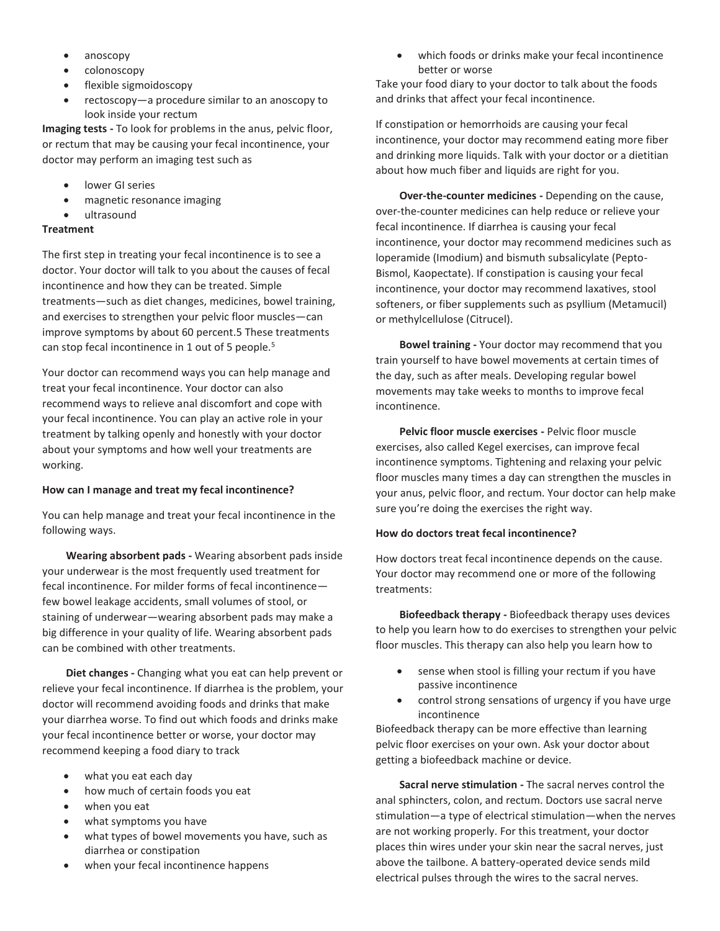- anoscopy
- colonoscopy
- flexible sigmoidoscopy
- rectoscopy—a procedure similar to an anoscopy to look inside your rectum

**Imaging tests -** To look for problems in the anus, pelvic floor, or rectum that may be causing your fecal incontinence, your doctor may perform an imaging test such as

- lower GI series
- magnetic resonance imaging
- ultrasound

## **Treatment**

The first step in treating your fecal incontinence is to see a doctor. Your doctor will talk to you about the causes of fecal incontinence and how they can be treated. Simple treatments—such as diet changes, medicines, bowel training, and exercises to strengthen your pelvic floor muscles—can improve symptoms by about 60 percent.5 These treatments can stop fecal incontinence in 1 out of 5 people.<sup>5</sup>

Your doctor can recommend ways you can help manage and treat your fecal incontinence. Your doctor can also recommend ways to relieve anal discomfort and cope with your fecal incontinence. You can play an active role in your treatment by talking openly and honestly with your doctor about your symptoms and how well your treatments are working.

## **How can I manage and treat my fecal incontinence?**

You can help manage and treat your fecal incontinence in the following ways.

**Wearing absorbent pads -** Wearing absorbent pads inside your underwear is the most frequently used treatment for fecal incontinence. For milder forms of fecal incontinence few bowel leakage accidents, small volumes of stool, or staining of underwear—wearing absorbent pads may make a big difference in your quality of life. Wearing absorbent pads can be combined with other treatments.

**Diet changes -** Changing what you eat can help prevent or relieve your fecal incontinence. If diarrhea is the problem, your doctor will recommend avoiding foods and drinks that make your diarrhea worse. To find out which foods and drinks make your fecal incontinence better or worse, your doctor may recommend keeping a food diary to track

- what you eat each day
- how much of certain foods you eat
- when you eat
- what symptoms you have
- what types of bowel movements you have, such as diarrhea or constipation
- when your fecal incontinence happens

• which foods or drinks make your fecal incontinence better or worse

Take your food diary to your doctor to talk about the foods and drinks that affect your fecal incontinence.

If constipation or hemorrhoids are causing your fecal incontinence, your doctor may recommend eating more fiber and drinking more liquids. Talk with your doctor or a dietitian about how much fiber and liquids are right for you.

**Over-the-counter medicines -** Depending on the cause, over-the-counter medicines can help reduce or relieve your fecal incontinence. If diarrhea is causing your fecal incontinence, your doctor may recommend medicines such as loperamide (Imodium) and bismuth subsalicylate (Pepto-Bismol, Kaopectate). If constipation is causing your fecal incontinence, your doctor may recommend laxatives, stool softeners, or fiber supplements such as psyllium (Metamucil) or methylcellulose (Citrucel).

**Bowel training -** Your doctor may recommend that you train yourself to have bowel movements at certain times of the day, such as after meals. Developing regular bowel movements may take weeks to months to improve fecal incontinence.

**Pelvic floor muscle exercises -** Pelvic floor muscle exercises, also called Kegel exercises, can improve fecal incontinence symptoms. Tightening and relaxing your pelvic floor muscles many times a day can strengthen the muscles in your anus, pelvic floor, and rectum. Your doctor can help make sure you're doing the exercises the right way.

## **How do doctors treat fecal incontinence?**

How doctors treat fecal incontinence depends on the cause. Your doctor may recommend one or more of the following treatments:

**Biofeedback therapy -** Biofeedback therapy uses devices to help you learn how to do exercises to strengthen your pelvic floor muscles. This therapy can also help you learn how to

- sense when stool is filling your rectum if you have passive incontinence
- control strong sensations of urgency if you have urge incontinence

Biofeedback therapy can be more effective than learning pelvic floor exercises on your own. Ask your doctor about getting a biofeedback machine or device.

**Sacral nerve stimulation -** The sacral nerves control the anal sphincters, colon, and rectum. Doctors use sacral nerve stimulation—a type of electrical stimulation—when the nerves are not working properly. For this treatment, your doctor places thin wires under your skin near the sacral nerves, just above the tailbone. A battery-operated device sends mild electrical pulses through the wires to the sacral nerves.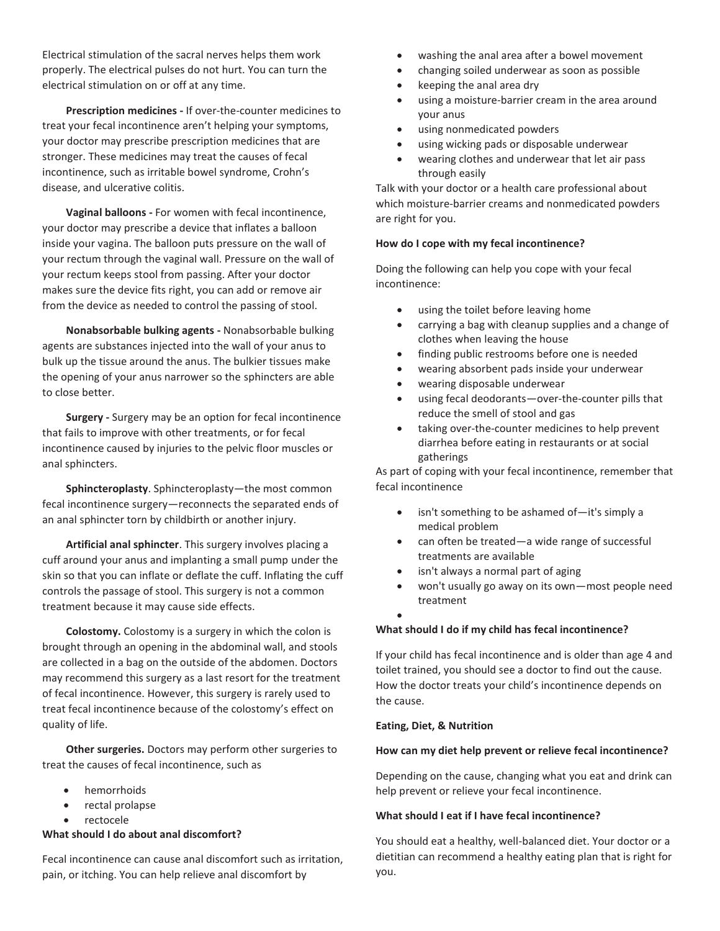Electrical stimulation of the sacral nerves helps them work properly. The electrical pulses do not hurt. You can turn the electrical stimulation on or off at any time.

**Prescription medicines -** If over-the-counter medicines to treat your fecal incontinence aren't helping your symptoms, your doctor may prescribe prescription medicines that are stronger. These medicines may treat the causes of fecal incontinence, such as irritable bowel syndrome, Crohn's disease, and ulcerative colitis.

**Vaginal balloons -** For women with fecal incontinence, your doctor may prescribe a device that inflates a balloon inside your vagina. The balloon puts pressure on the wall of your rectum through the vaginal wall. Pressure on the wall of your rectum keeps stool from passing. After your doctor makes sure the device fits right, you can add or remove air from the device as needed to control the passing of stool.

**Nonabsorbable bulking agents -** Nonabsorbable bulking agents are substances injected into the wall of your anus to bulk up the tissue around the anus. The bulkier tissues make the opening of your anus narrower so the sphincters are able to close better.

**Surgery -** Surgery may be an option for fecal incontinence that fails to improve with other treatments, or for fecal incontinence caused by injuries to the pelvic floor muscles or anal sphincters.

**Sphincteroplasty**. Sphincteroplasty—the most common fecal incontinence surgery—reconnects the separated ends of an anal sphincter torn by childbirth or another injury.

**Artificial anal sphincter**. This surgery involves placing a cuff around your anus and implanting a small pump under the skin so that you can inflate or deflate the cuff. Inflating the cuff controls the passage of stool. This surgery is not a common treatment because it may cause side effects.

**Colostomy.** Colostomy is a surgery in which the colon is brought through an opening in the abdominal wall, and stools are collected in a bag on the outside of the abdomen. Doctors may recommend this surgery as a last resort for the treatment of fecal incontinence. However, this surgery is rarely used to treat fecal incontinence because of the colostomy's effect on quality of life.

**Other surgeries.** Doctors may perform other surgeries to treat the causes of fecal incontinence, such as

- hemorrhoids
- rectal prolapse
- rectocele

## **What should I do about anal discomfort?**

Fecal incontinence can cause anal discomfort such as irritation, pain, or itching. You can help relieve anal discomfort by

- washing the anal area after a bowel movement
- changing soiled underwear as soon as possible
- keeping the anal area dry
- using a moisture-barrier cream in the area around your anus
- using nonmedicated powders
- using wicking pads or disposable underwear
- wearing clothes and underwear that let air pass through easily

Talk with your doctor or a health care professional about which moisture-barrier creams and nonmedicated powders are right for you.

## **How do I cope with my fecal incontinence?**

Doing the following can help you cope with your fecal incontinence:

- using the toilet before leaving home
- carrying a bag with cleanup supplies and a change of clothes when leaving the house
- finding public restrooms before one is needed
- wearing absorbent pads inside your underwear
- wearing disposable underwear
- using fecal deodorants—over-the-counter pills that reduce the smell of stool and gas
- taking over-the-counter medicines to help prevent diarrhea before eating in restaurants or at social gatherings

As part of coping with your fecal incontinence, remember that fecal incontinence

- isn't something to be ashamed of—it's simply a medical problem
- can often be treated—a wide range of successful treatments are available
- isn't always a normal part of aging
- won't usually go away on its own—most people need treatment
- •

## **What should I do if my child has fecal incontinence?**

If your child has fecal incontinence and is older than age 4 and toilet trained, you should see a doctor to find out the cause. How the doctor treats your child's incontinence depends on the cause.

## **Eating, Diet, & Nutrition**

## **How can my diet help prevent or relieve fecal incontinence?**

Depending on the cause, changing what you eat and drink can help prevent or relieve your fecal incontinence.

## **What should I eat if I have fecal incontinence?**

You should eat a healthy, well-balanced diet. Your doctor or a dietitian can recommend a healthy eating plan that is right for you.